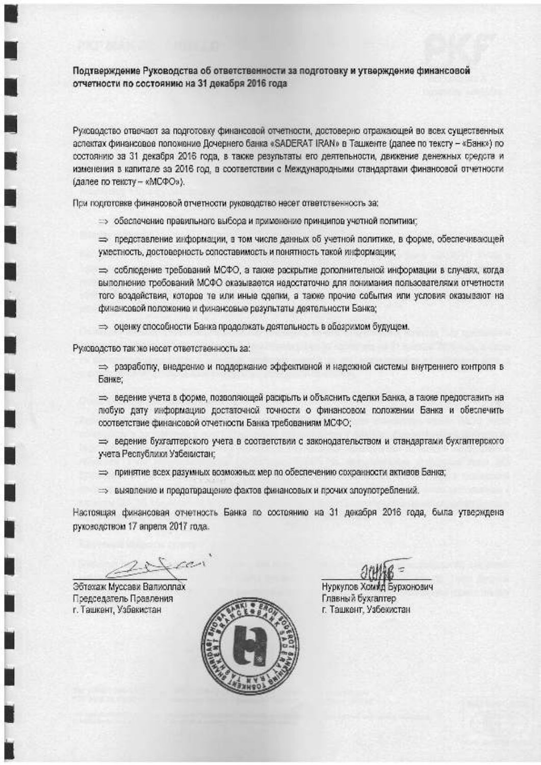Подтверждение Руководства об ответственности за подготовку и утверждение финансовой отчетности по состоянию на 31 декабря 2016 года

Руководство отвечает за подготовку финансовой отчетности, достоверно отражающей во всех существенных аспектах финансовое положение Дочернего банка «SADERAT IRAN» в Ташкенте (далее по тексту - «Банк») по осстоянию за 31 декабря 2016 года, в также результаты его деятельности, движение денежных средств и изменения в капитале за 2016 год, в соответствии с Международными стандартами финансовой отчетности (далее по тексту - «МСФО»).

При подготовке финансовой отчетности руководство несет ответственность за:

> обаспечение правильного выбора и применение принципов учетной политики;

представление информации, в том числе данных об учетной политике, в форме, обеспечивающей уместность, достоверность сопоставимость и понятность такой информации;

⇒ соблюдение требований МСФО, а также раскрытие дополнительной информации в случаях, когда выполнение требований МСФО оказывается недостаточно для понимания пользователями отчетности того воздействия, которое те или иные сделки, а также прочие события или условия оказывают на финансовой положение и финансовые результаты деятельности Банка;

> оценку способности Банка продолжать доятельность в обозримом будущем.

Руководство так же несет ответственность за:

=> разработку, внедрение и поддержание эффективной и надежной системы внутреннего контроля в Банке:

⇒ ведение учета в форме, позволяющей раскрыть и объяснить сделки Банка, а также предоставить на любую дату информацию достаточной точности о финансовом положении Банка и обеспечить орответствие финансовой отчетности Банка требованиям МСФО;

= ведение бухгалтерского учета в соответствии с законодательством и стандартами бухгалтерского учета Республики Узбекистан:

=> принятие всех разумных возможных мер по обеспечению сохранности активов Банка;

> выявление и предотвращение фактов финансовых и прочих элеупотреблений.

Настоящая финансовая отчетность Банка по состоянию на 31 декабря 2016 года, была утверждена руководством 17 апреля 2017 года.

 $28f$ can

Эбтехаж Муссави Валиоллах Председатель Правления г. Ташкент, Узбекистан



Нуркулов Хомид Бурхонович Главный бухгалтер г. Ташкент, Узбекистан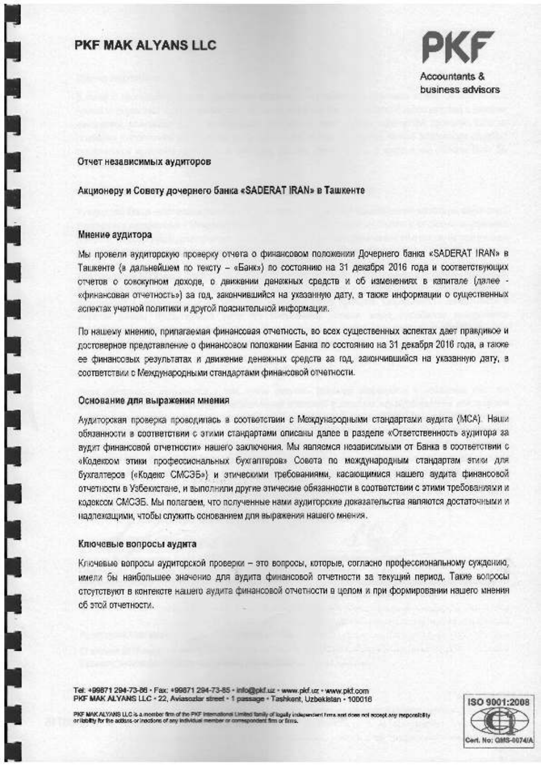# PKF MAK ALYANS LLC



Отчет независимых аудиторов

#### Акционеру и Совету дочернего банка «SADERAT IRAN» в Ташкенте

#### Мнение аудитора

Мы провели аудиторскую проверку отчега о финансовом положении Дочернего банка «SADERAT IRAN» в Ташкенте (в дальнейшем по тексту - «Банк») по состоянию на 31 декабря 2016 года и соответствующих отчетов о совокупном доходе, о движении данажных средств и об изменениях в калитале (далее -«финансовая отчетность») за год, закончившийся на указанную дату, а также информации о существенных аспектах учетной политики и другой пояснительной информации.

По нашему мнению, припагаемая финансовая отчетность, во всех существенных аспектах дает правдивое и достоверное представление о финансовом положении Банка по состоянию на 31 декабря 2016 года, а также ее финансовых результатах и движение денежных средств за год, закончившийся на указанную дату, в соответствии с Международными стандартами финансовой отчетности.

#### Основание для выражения мнения

Аудиторская проверка проводилась в соответствии с Международными стандартами аудита (МСА). Наши обязанности в соответствии с этими стандартами описаны далее в разделе «Ответственность аудитора за аудит финансовой отчетности» нашего заключения. Мы являемся независимыми от Банка в соответствии с «Кодекоом этики профессиональных бухгалтеров» Совета по международным стандартам этики для бухгалтеров («Кодекс СМСЭБ») и этическими требованиями, касающимися нашего аудита финансовой отчетности в Узбекистане, и выполнили другие этические обязанности в соответствии с этими требованиями и кодексом СМСЭБ. Мы полагаем, что полученные нами аудиторские доказательства являются достаточными и надлежащими, чтобы служить основанием для выражения нашего мнения.

### Ключевые вопросы аудита

Ключевые вопросы аудиторской проверки - это вопросы, которые, согласно профессиональному суждению, имели бы наибольшее значение для аудита финансовой отчетности за текущий период. Такие вопросы стоутствуют в контексте нашего аудита финансовой отчетности в целом и при формировании нашего мнения об этой отчетности.

Tel: +99871 294-73-86 - Fax: +99871 294-73-85 - info@pkf.uz - www.pkf.uz - www.pkf.com PKF MAK ALYANS LLC - 22, Aviasozlar street - 1 passage - Tashkent, Uzbekletan - 100018



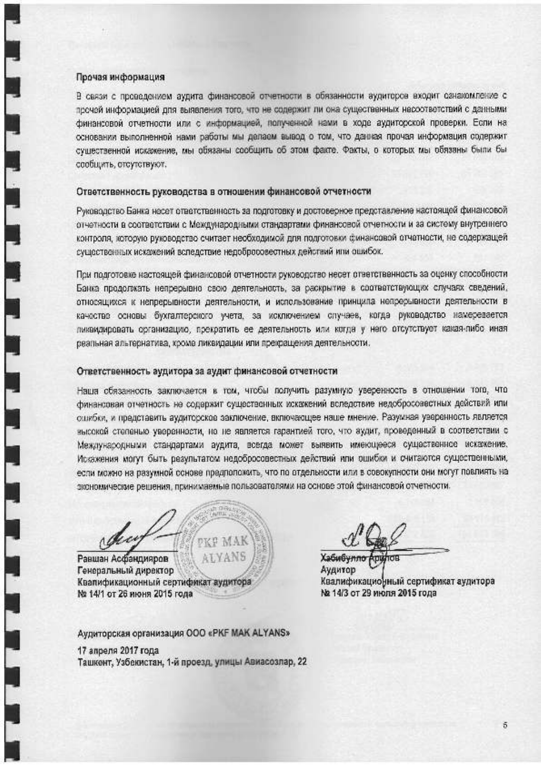### Прочая информация

В связи с проведением аудита финансовой отчетности в обязанности аудиторов входит санакомление с прочей информацией для выявления того, что не содержит ли она существенных несоответствий с данными финансовой отчетности или с информацией, полученной нами в ходе аудиторской проверки. Если на основании выполненной нами работы мы делаем вывод о том, что данная прочая информация содержит существенной искажение, мы обязаны сообщить об этом факте. Факты, о которых мы обязаны были бы сообщить, отсутствуют.

#### Ответственность руководства в отношении финансовой отчетности

Руководство Банка несет ответственность за подготовку и достоверное представление настоящей финансовой отчетности в соответствии с Международными стандартами финансовой отчетности и за систему внутреннего контроля, которую руководство считает необходимой для подготовки финансовой отчатности, не содержащей существенных искажений вследствие недобросовестных действий или ошибок.

Пои подготовке настоящей финансовой отчетности оуководство несет ответственность за оценку способности Банка продолжать непрерывно свою деятельность, за раскрытие в соответствующих случаях сведений, относящихся к непрерывности деятельности, и использование принципа непрерывности деятельности в качестве основы бухгалтерского учета, за исключением случаев, когда руководство намеревается ликвидировать организацию, прекратить ее деятельность или когда у него отсутствует какая-либо иная реальная альтернатива, кроме ликвидации или прекращения деятельности.

#### Ответственность аудитора за аудит финансовой отчетности

Наша обязанность заключается в том, чтобы получить разумную уверенность в отношении того, что финансовая отчетность не содержит существенных искажений вследствие недобросовестных действий или ошибки, и представить аудиторское заключение, включающее наше мнение. Разумная уверенность является зысокой степенью уверенности, но не является гарантией того, что аудит, проведенный в соответствии с Международными стандартами аудита, всегда может выявить имеющееся сущаственное искажение. Искажения могут быть результатом недобросовестных действий или ошибки и очитаются существенными, если можно на разумной основе предположить, что по отдельности или в совокупности они могут повлиять на зкономические решения, принимаемые пользователями на основе этой финансовой отчетности.

rder PKP MAK

**ALYANS** Равшан Асфандияров Генеральный директор Квалификационный сертификат аудитора № 14/1 от 26 июня 2015 года

Хабибулло Ар Аудитор Квалификационный сертификат аудитора № 14/3 от 29 июля 2015 года

Aудиторская организация ООО «PKF MAK ALYANS»

17 апреля 2017 года Ташкент, Узбекистан, 1-й проезд, улицы Авиасозлар, 22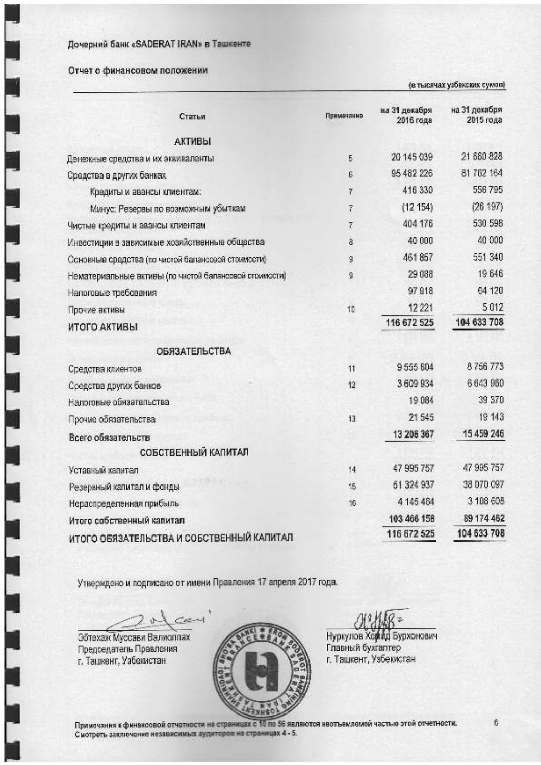Отчет о финансовом положении

(в тысячах узбекских сумов)

| Статьи                                                 | Примечание     | на 31 декабря<br>2016 года | на 31 декабря<br>2015 года |
|--------------------------------------------------------|----------------|----------------------------|----------------------------|
| АКТИВЫ                                                 |                |                            |                            |
| Денежные средства и их эквиваленты                     | 5              | 20 145 039                 | 21 660 828                 |
| Средства в других банках.                              | 6              | 95 482 226                 | 81 762 164                 |
| Кредиты и авансы клиентам:                             | $\overline{t}$ | 416 330                    | 556795                     |
| Минус: Резервы по возможным убыткам                    | $\vec{r}$      | (12 154)                   | (26.197)                   |
| Чистые кредиты и авансы клиентам                       | 7              | 404 176                    | 530 598                    |
| Инвестиции в зависимые хозяйственные общества          | 8              | 40 000                     | 40 000                     |
| Соновные средства (по чистой балансовой стоимости)     | 9              | 461857                     | 551 340                    |
| Нематериальные активы (по чистой балансовой стоимости) | 9              | 29 088                     | 19 646                     |
| Налоговые требования                                   |                | 97918                      | 64 120                     |
| Прочие активы                                          | 10             | 12 22 1                    | 5012                       |
| ИТОГО АКТИВЫ                                           |                | 116 672 525                | 104 633 708                |
| <b>ОБЯЗАТЕЛЬСТВА</b>                                   |                |                            |                            |
| Средства клиентов                                      | 11             | 9555804                    | 8756773                    |
| Средства других банков                                 | 12             | 3 609 934                  | 6 643 980                  |
| Налоговые обязательства                                |                | 19084                      | 39 370                     |
| Прочие обязательства                                   | 13             | 21545                      | 19 14 3                    |
| Всего обязательств                                     |                | 13 206 367                 | 15 459 246                 |
| СОБСТВЕННЫЙ КАПИТАЛ                                    |                |                            |                            |
| Уставный калитал                                       | 14             | 47 995 757                 | 47 995 757                 |
| Резервный калитал и фонды                              | 15             | 51 324 937                 | 38 070 097                 |
| Нераспределенная прибыль                               | 16             | 4 145 484                  | 3 108 608                  |
| Итого собственный капитал                              |                | 103 466 158                | 89 174 462                 |
| ИТОГО ОБЯЗАТЕЛЬСТВА И СОБСТВЕННЫЙ КАПИТАЛ              |                | 116 672 525                | 104 633 708                |

Утверждено и подписано от имени Правления 17 апреля 2017 года.

 $C$  $\sigma$ Эбтехаж Муссави Валиоллах

Председатель Правления г. Ташкент, Узбекистан



alidus-Нуркулов Хорид Бурхонович<br>Главный бухгалтер<br>г. Ташкент, Узбекистан

Примечания к финансовой отчетности на страницах с 10 по 56 являются неотъемлемой частью этой отчетности.<br>Смотреть заключение независимых аудиторов на страницах 4 - 5.

6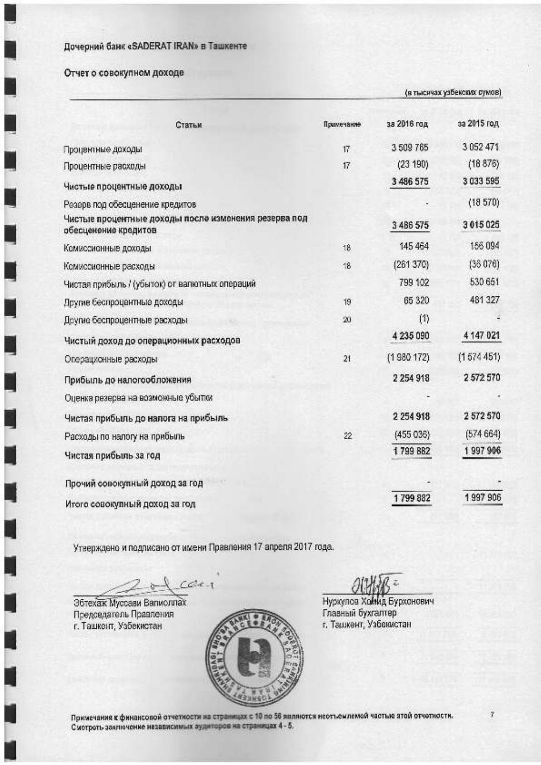### Отчет о совокупном доходе

| Статьи                                                                       | Примечание     | за 2016 год   | за 2015 год   |
|------------------------------------------------------------------------------|----------------|---------------|---------------|
| Процентные доходы                                                            | $17^{\circ}$   | 3 509 785     | 3 0 5 2 4 7 1 |
| Процентные расходы                                                           | 17             | (23 190)      | (18 876)      |
| Чистые процентные доходы                                                     |                | 3 486 575     | 3 033 595     |
| Резерв под обесценение кредитов                                              |                |               | (18570)       |
| Чистые процентные доходы после изменения резерва под<br>обесценение кредитов |                | 3 4 8 6 5 7 5 | 3 015 025     |
| Комиссионные доходы                                                          | 18             | 145 464       | 156 094       |
| Комиссионные расходы                                                         | 18             | (261 370)     | (36076)       |
| Чистая прибыль / (убыток) от валютных операций                               |                | 799 102       | 530 651       |
| Другие беспроцантные доходы                                                  | 19             | 65 320        | 481 327       |
| Другие беспроцентные расходы                                                 | 20             | (1)           |               |
| Чистый доход до операционных расходов                                        |                | 4 235 090     | 4 147 021     |
| Операционные расходы                                                         | 21             | (1980172)     | (1574.451)    |
| Прибыль до налогообложения                                                   |                | 2 2 5 4 9 1 8 | 2 572 570     |
| Оценка резерва на возможные убытки                                           |                |               |               |
| Чистая прибыль до налога на прибыль                                          |                | 2 254 918     | 2572570       |
| Расходы по налогу на прибыль                                                 | $\overline{2}$ | (455 036)     | (574664)      |
| Чистая прибыль за год                                                        |                | 1799 882      | 1997906       |
| Прочий совокупный доход за год                                               |                |               |               |
| Итого совокупный доход за год                                                |                | 1799 882      | 1997906       |

Утверждено и подписано от имени Правления 17 апреля 2017 года.

A car

Эбтехаж Муссави Вапиоллах Председатель Правления г. Ташкент, Узбекистан



Нуркулов Хамид Бурхонович Главный бухгалтер г. Ташкент, Узбекистан

(в тысячах узбекских сумов)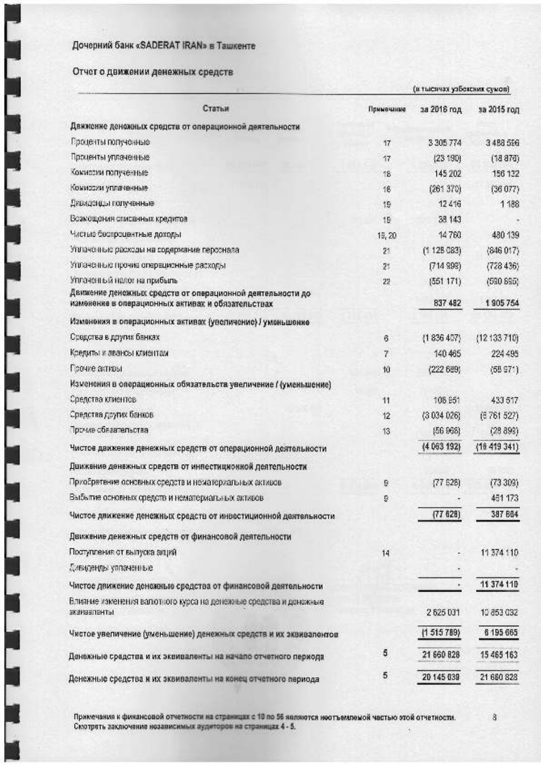## Отчет о движении денежных средств

|                                                                                                                | (в тысячах узбексник сумов) |              |              |  |
|----------------------------------------------------------------------------------------------------------------|-----------------------------|--------------|--------------|--|
| Статьи                                                                                                         | Примечание                  | за 2016 год. | за 2015 год  |  |
| Движение деножных средств от операционной деятельности                                                         |                             |              |              |  |
| Проценты полученные                                                                                            | 17                          | 3 305 774    | 3 488 556    |  |
| Проценты уплаченные                                                                                            | 17                          | (23 190)     | (18876)      |  |
| Комиссии попученные                                                                                            | 18                          | 145 202      | 156 132      |  |
| Комиссии уплаченные                                                                                            | 18                          | (261 370)    | (36077)      |  |
| Дявиденды полученные                                                                                           | 19                          | 12 416       | 1 1 8 8      |  |
| Возмощения списанных кредитов.                                                                                 | 19                          | 38 143       |              |  |
| Чистые беспроцентные доходы                                                                                    | 19, 20                      | 14760        | 480 139      |  |
| Уплаченные расходы на содержание пероснала                                                                     | 21                          | (1.128.083)  | (846017)     |  |
| Уплаченные прочив опервциенные расходы                                                                         | 21                          | (714993)     | (728436)     |  |
| Уплаченный налог на прибыль                                                                                    | 22                          | (551 171)    | (530.895)    |  |
| Движение денежных средств от операционной деятельности до<br>изменение в операционных активах и обязательствах |                             | 837 482      | 1905754      |  |
| Изменения в операционных активах (увеличение) / уменьшение                                                     |                             |              |              |  |
| Средства в других банках                                                                                       | 6                           | (1836407)    | (12133710)   |  |
| Қседиты к авансы клиентам                                                                                      | 7                           | 140 465      | 224 495      |  |
| Грочке активы                                                                                                  | 10                          | (222 689)    | (58.971)     |  |
| Изменения в операционных обязательств увеличение / (уменьшение)                                                |                             |              |              |  |
| Средства клиентов                                                                                              | 11                          | 108 951      | 433 517      |  |
| Средства других банков                                                                                         | 12                          | (3034026)    | (6761527)    |  |
| Прочие обнавлельства                                                                                           | 13                          | [56968]      | (28.893)     |  |
| Чистов движение денежных средств от операционной деятельности                                                  |                             | (4 063 192)  | (16 419 341) |  |
| Движение денежных средств от инвестиционной деятельности                                                       |                             |              |              |  |
| Приобретение основных средств и нематериальных активов                                                         | g                           | (77528)      | (73303)      |  |
| Выбытие основных средств и нематериальных активов.                                                             | s.                          |              | 461 173      |  |
| Чистое движение денежных средств от инвестиционной деятельности                                                |                             | (77628)      | 387 BS4      |  |
| Движение денежных средств от финансовой деятельности                                                           |                             |              |              |  |
| Поступления от выпуска акций                                                                                   | 14                          |              | 11 374 110   |  |
| Дивиденды уллаченные                                                                                           |                             |              |              |  |
| Чистое движение денежные средства от финансовой деятельности                                                   |                             |              | 11 374 110   |  |
| Влияние изменения валютного курса на денежные средства и донажные                                              |                             |              |              |  |
| <b>LETHEITEENENS</b>                                                                                           |                             | 2 625 031    | 10 853 032   |  |
| Чистое увеличение (уменьшение) денежных средств и их эквивалентов                                              |                             | (1 515 789)  | 6 195 665    |  |
| Денежные средства и их эквиваленты на начало отчетного периода                                                 | 5                           | 21 660 828   | 15 465 163   |  |
| Денежные средства и их эквиваленты на конец отчетного периода                                                  | 5                           | 20 145 039   | 21 660 828   |  |

Примечания к финансовой отчетности на страницах с 10 по 56 являются неотъемлемой частью этой отчетности.<br>Смотреть заключение независимых аудиторов на страницах 4 - 5.

 $\,$  3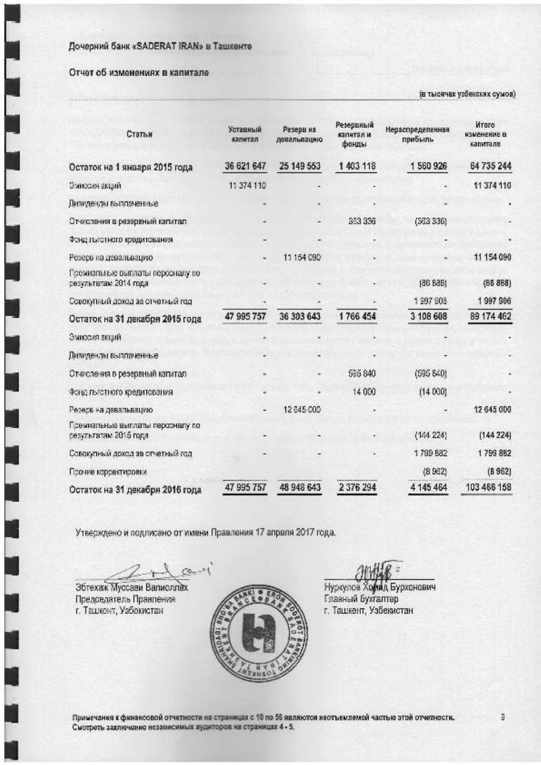## Отчет об изменениях в капитале

I

I

I

I

I

I

I

I

I

I

I

I

I

I

I

I

t

I

I

I

l

(a rrrcrvax yr6excrnx cyraoa)

| Статья                                                    | Уставный<br>капитал | Резерв на<br>девальвацию | Резервный<br>капитал и<br>фонды | Нераспределенная<br>прибыль | <b>Mroro</b><br><b>ИЗМЕНЕНИЕ В</b><br>капитале |
|-----------------------------------------------------------|---------------------|--------------------------|---------------------------------|-----------------------------|------------------------------------------------|
| Остаток на 1 января 2015 года                             | 36 621 647          | 25 149 553               | 1 403 118                       | 1 560 926                   | 64 735 244                                     |
| Эмироия акций                                             | 11 374 110          |                          |                                 |                             | 11 374 110                                     |
| Дизиденды выплаченные                                     |                     | ۳                        |                                 |                             |                                                |
| Отчисления в резервный капитал                            |                     | ۰                        | 353 336                         | (363336)                    |                                                |
| Фонд льготного крадитования                               | E                   | F.                       |                                 |                             |                                                |
| Резерв на девальвацию                                     |                     | 11 154 090               |                                 |                             | 11 154 090                                     |
| Премизльные выплаты персоналу по<br>результатам 2014 года |                     |                          |                                 | (86 688)                    | (86, 888)                                      |
| Совокупный доход за отчетный год                          |                     |                          |                                 | 1 997 908                   | 1997906                                        |
| Остаток на 31 декабря 2015 года                           | 47 995 757          | 36 303 643               | 1766 454                        | 3 108 608                   | 89 174 462                                     |
| Эмироия акций                                             |                     |                          |                                 |                             |                                                |
| Лизиденды выплаченные                                     |                     |                          |                                 |                             |                                                |
| Отчисления в резервный капитал                            | ٠                   | ۰                        | 595 840                         | (595, 840)                  |                                                |
| Фонд льготного кредитования                               | ۰                   |                          | 14 000                          | (14 000)                    |                                                |
| Резерв на девальвацию                                     |                     | 12 845 000               |                                 |                             | 12 645 000                                     |
| Премиальные выплаты перосналу по<br>сезультатам 2015 года |                     |                          |                                 | (144224)                    | (144224)                                       |
| Совокупный доход за отчетный год                          |                     |                          |                                 | 1799 882                    | 1799 882                                       |
| Прочке корректировки                                      |                     |                          |                                 | (8932)                      | (8962)                                         |
| Остаток на 31 декабря 2016 года                           | 47 995 757          | 48 948 643               | 2 376 294                       | 4 145 464                   | 103 466 158                                    |

Утверждено и подписано от имени Правления 17 апреля 2017 года.

 $(9 - 3)$ 

**Эбтехаж-Муссави Валисллах** Председатель Правления r. Tauxehr, Va6exixcraH



Нуркулов Хорид Бурхонович Главный бухгалтер r. Ташкент, Узбекистан